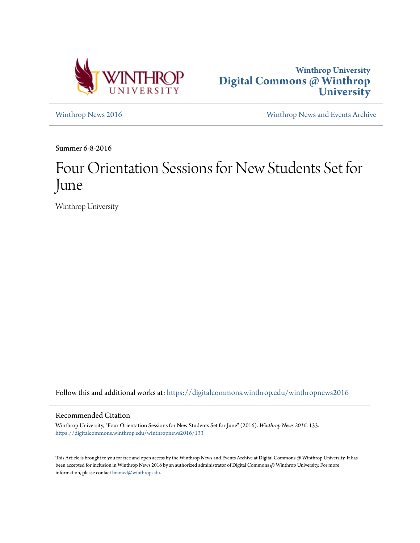



[Winthrop News 2016](https://digitalcommons.winthrop.edu/winthropnews2016?utm_source=digitalcommons.winthrop.edu%2Fwinthropnews2016%2F133&utm_medium=PDF&utm_campaign=PDFCoverPages) [Winthrop News and Events Archive](https://digitalcommons.winthrop.edu/winthropnewsarchives?utm_source=digitalcommons.winthrop.edu%2Fwinthropnews2016%2F133&utm_medium=PDF&utm_campaign=PDFCoverPages)

Summer 6-8-2016

## Four Orientation Sessions for New Students Set for June

Winthrop University

Follow this and additional works at: [https://digitalcommons.winthrop.edu/winthropnews2016](https://digitalcommons.winthrop.edu/winthropnews2016?utm_source=digitalcommons.winthrop.edu%2Fwinthropnews2016%2F133&utm_medium=PDF&utm_campaign=PDFCoverPages)

## Recommended Citation

Winthrop University, "Four Orientation Sessions for New Students Set for June" (2016). *Winthrop News 2016*. 133. [https://digitalcommons.winthrop.edu/winthropnews2016/133](https://digitalcommons.winthrop.edu/winthropnews2016/133?utm_source=digitalcommons.winthrop.edu%2Fwinthropnews2016%2F133&utm_medium=PDF&utm_campaign=PDFCoverPages)

This Article is brought to you for free and open access by the Winthrop News and Events Archive at Digital Commons @ Winthrop University. It has been accepted for inclusion in Winthrop News 2016 by an authorized administrator of Digital Commons @ Winthrop University. For more information, please contact [bramed@winthrop.edu](mailto:bramed@winthrop.edu).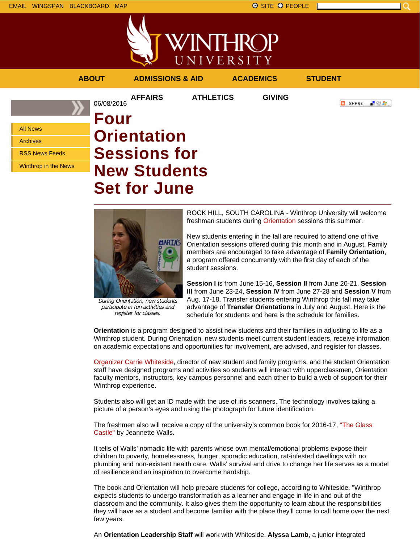







During Orientation, new students participate in fun activities and register for classes.

ROCK HILL, SOUTH CAROLINA - Winthrop University will welcome freshman students during Orientation sessions this summer.

New students entering in the fall are required to attend one of five Orientation sessions offered during this month and in August. Family members are encouraged to take advantage of **Family Orientation**, a program offered concurrently with the first day of each of the student sessions.

**Session I** is from June 15-16, **Session II** from June 20-21, **Session III** from June 23-24, **Session IV** from June 27-28 and **Session V** from Aug. 17-18. Transfer students entering Winthrop this fall may take advantage of **Transfer Orientations** in July and August. Here is the schedule for students and here is the schedule for families.

**Orientation** is a program designed to assist new students and their families in adjusting to life as a Winthrop student. During Orientation, new students meet current student leaders, receive information on academic expectations and opportunities for involvement, are advised, and register for classes.

Organizer Carrie Whiteside, director of new student and family programs, and the student Orientation staff have designed programs and activities so students will interact with upperclassmen, Orientation faculty mentors, instructors, key campus personnel and each other to build a web of support for their Winthrop experience.

Students also will get an ID made with the use of iris scanners. The technology involves taking a picture of a person's eyes and using the photograph for future identification.

The freshmen also will receive a copy of the university's common book for 2016-17, "The Glass Castle" by Jeannette Walls.

It tells of Walls' nomadic life with parents whose own mental/emotional problems expose their children to poverty, homelessness, hunger, sporadic education, rat-infested dwellings with no plumbing and non-existent health care. Walls' survival and drive to change her life serves as a model of resilience and an inspiration to overcome hardship.

The book and Orientation will help prepare students for college, according to Whiteside. "Winthrop expects students to undergo transformation as a learner and engage in life in and out of the classroom and the community. It also gives them the opportunity to learn about the responsibilities they will have as a student and become familiar with the place they'll come to call home over the next few years.

An **Orientation Leadership Staff** will work with Whiteside. **Alyssa Lamb**, a junior integrated